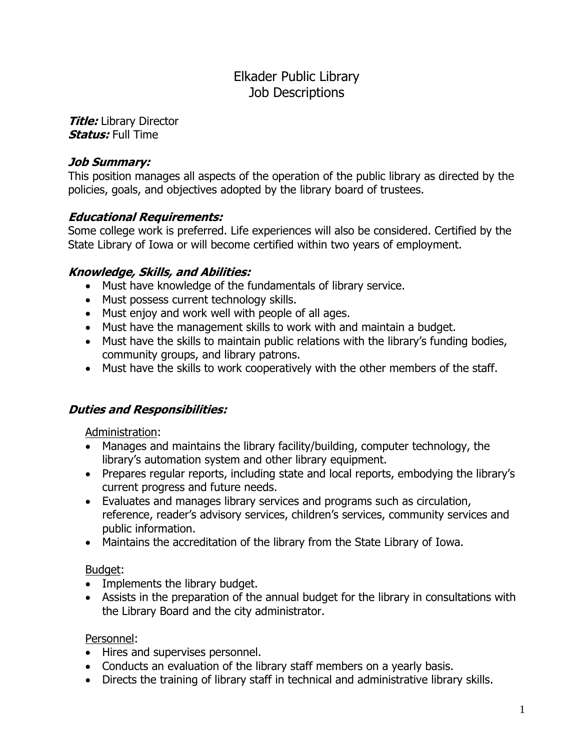# Elkader Public Library Job Descriptions

**Title:** Library Director **Status:** Full Time

#### **Job Summary:**

This position manages all aspects of the operation of the public library as directed by the policies, goals, and objectives adopted by the library board of trustees.

### **Educational Requirements:**

Some college work is preferred. Life experiences will also be considered. Certified by the State Library of Iowa or will become certified within two years of employment.

### **Knowledge, Skills, and Abilities:**

- Must have knowledge of the fundamentals of library service.
- Must possess current technology skills.
- Must enjoy and work well with people of all ages.
- Must have the management skills to work with and maintain a budget.
- Must have the skills to maintain public relations with the library's funding bodies, community groups, and library patrons.
- Must have the skills to work cooperatively with the other members of the staff.

### **Duties and Responsibilities:**

Administration:

- Manages and maintains the library facility/building, computer technology, the library's automation system and other library equipment.
- Prepares regular reports, including state and local reports, embodying the library's current progress and future needs.
- Evaluates and manages library services and programs such as circulation, reference, reader's advisory services, children's services, community services and public information.
- Maintains the accreditation of the library from the State Library of Iowa.

### Budget:

- Implements the library budget.
- Assists in the preparation of the annual budget for the library in consultations with the Library Board and the city administrator.

### Personnel:

- Hires and supervises personnel.
- Conducts an evaluation of the library staff members on a yearly basis.
- Directs the training of library staff in technical and administrative library skills.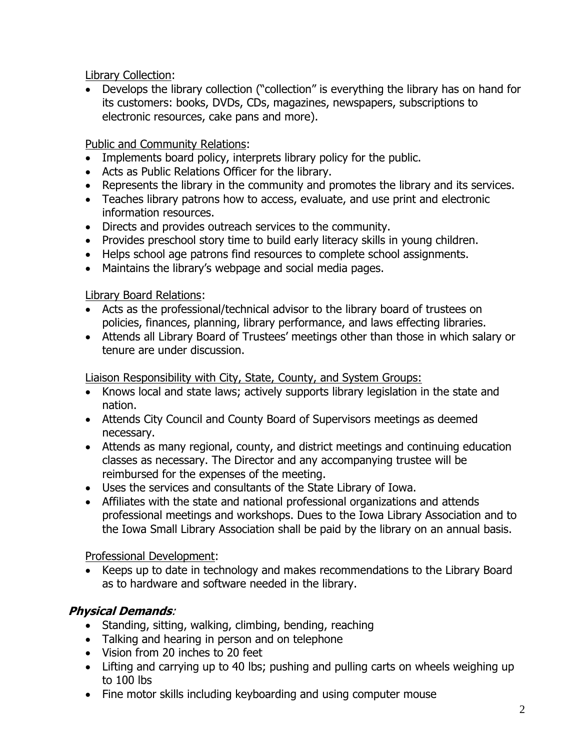Library Collection:

 Develops the library collection ("collection" is everything the library has on hand for its customers: books, DVDs, CDs, magazines, newspapers, subscriptions to electronic resources, cake pans and more).

Public and Community Relations:

- Implements board policy, interprets library policy for the public.
- Acts as Public Relations Officer for the library.
- Represents the library in the community and promotes the library and its services.
- Teaches library patrons how to access, evaluate, and use print and electronic information resources.
- Directs and provides outreach services to the community.
- Provides preschool story time to build early literacy skills in young children.
- Helps school age patrons find resources to complete school assignments.
- Maintains the library's webpage and social media pages.

Library Board Relations:

- Acts as the professional/technical advisor to the library board of trustees on policies, finances, planning, library performance, and laws effecting libraries.
- Attends all Library Board of Trustees' meetings other than those in which salary or tenure are under discussion.

Liaison Responsibility with City, State, County, and System Groups:

- Knows local and state laws; actively supports library legislation in the state and nation.
- Attends City Council and County Board of Supervisors meetings as deemed necessary.
- Attends as many regional, county, and district meetings and continuing education classes as necessary. The Director and any accompanying trustee will be reimbursed for the expenses of the meeting.
- Uses the services and consultants of the State Library of Iowa.
- Affiliates with the state and national professional organizations and attends professional meetings and workshops. Dues to the Iowa Library Association and to the Iowa Small Library Association shall be paid by the library on an annual basis.

Professional Development:

 Keeps up to date in technology and makes recommendations to the Library Board as to hardware and software needed in the library.

# **Physical Demands**:

- Standing, sitting, walking, climbing, bending, reaching
- Talking and hearing in person and on telephone
- Vision from 20 inches to 20 feet
- Lifting and carrying up to 40 lbs; pushing and pulling carts on wheels weighing up to 100 lbs
- Fine motor skills including keyboarding and using computer mouse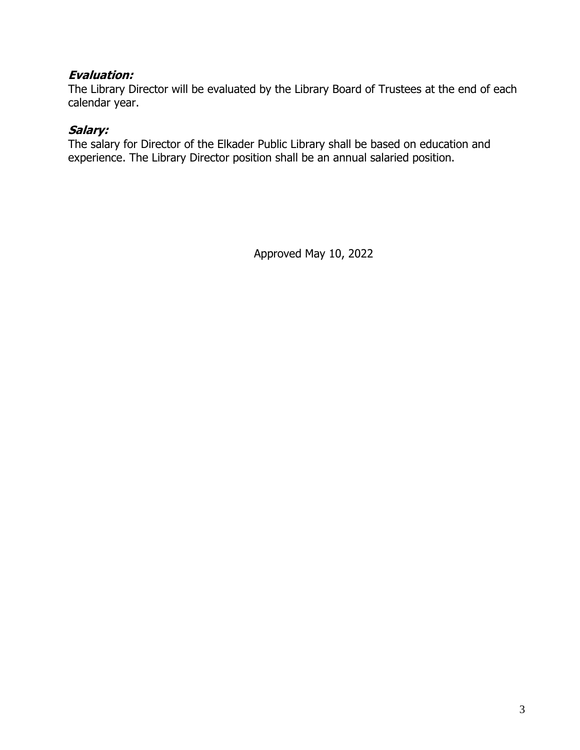#### **Evaluation:**

The Library Director will be evaluated by the Library Board of Trustees at the end of each calendar year.

### **Salary:**

The salary for Director of the Elkader Public Library shall be based on education and experience. The Library Director position shall be an annual salaried position.

Approved May 10, 2022